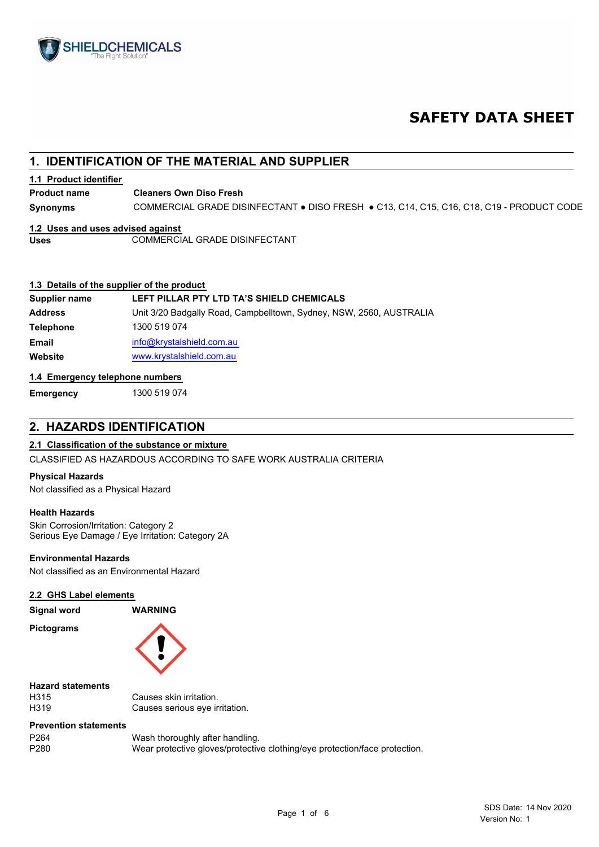

# **SAFETY DATA SHEET**

# **1. IDENTIFICATION OF THE MATERIAL AND SUPPLIER**

### **1.1 Product identifier**

**Cleaners Own Diso Fresh Product name**

**Synonyms** COMMERCIAL GRADE DISINFECTANT ● DISO FRESH ● C13, C14, C15, C16, C18, C19 - PRODUCT CODE

#### **1.2 Uses and uses advised against**

Uses **COMMERCIAL GRADE DISINFECTANT** 

### **1.3 Details of the supplier of the product**

| Supplier name    | LEFT PILLAR PTY LTD TA'S SHIELD CHEMICALS                           |
|------------------|---------------------------------------------------------------------|
| <b>Address</b>   | Unit 3/20 Badgally Road, Campbelltown, Sydney, NSW, 2560, AUSTRALIA |
| <b>Telephone</b> | 1300 519 074                                                        |
| <b>Email</b>     | info@krystalshield.com.au                                           |
| Website          | www.krystalshield.com.au                                            |

### **1.4 Emergency telephone numbers**

**Emergency** 1300 519 074

# **2. HAZARDS IDENTIFICATION**

## **2.1 Classification of the substance or mixture**

CLASSIFIED AS HAZARDOUS ACCORDING TO SAFE WORK AUSTRALIA CRITERIA

#### **Physical Hazards**

Not classified as a Physical Hazard

#### **Health Hazards**

Skin Corrosion/Irritation: Category 2 Serious Eye Damage / Eye Irritation: Category 2A

#### **Environmental Hazards**

Not classified as an Environmental Hazard

#### **2.2 GHS Label elements**

**Signal word WARNING**

**Pictograms**



#### **Hazard statements**

H315 Causes skin irritation. H319 Causes serious eye irritation.

### **Prevention statements**

| P264 | Wash thoroughly after handling.                                            |
|------|----------------------------------------------------------------------------|
| P280 | Wear protective gloves/protective clothing/eye protection/face protection. |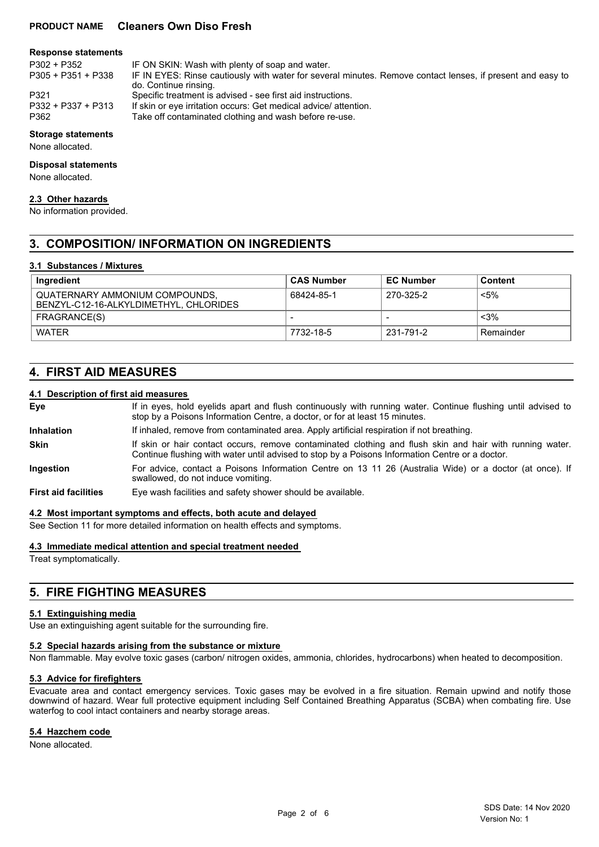## **PRODUCT NAME Cleaners Own Diso Fresh**

#### **Response statements**

P305 + P351 + P338

P302 + P352 IF ON SKIN: Wash with plenty of soap and water.

- IF IN EYES: Rinse cautiously with water for several minutes. Remove contact lenses, if present and easy to do. Continue rinsing.
- P321 Specific treatment is advised see first aid instructions.<br>P332 + P337 + P313 If skin or eve irritation occurs: Get medical advice/ atter
- P332 + P337 + P313 If skin or eye irritation occurs: Get medical advice/ attention.<br>P362 Take off contaminated clothing and wash before re-use.
	- Take off contaminated clothing and wash before re-use.

### **Storage statements**

None allocated.

#### **Disposal statements**

None allocated.

#### **2.3 Other hazards**

No information provided.

# **3. COMPOSITION/ INFORMATION ON INGREDIENTS**

#### **3.1 Substances / Mixtures**

| Ingredient                                                               | <b>CAS Number</b>        | <b>EC Number</b> | <b>Content</b> |
|--------------------------------------------------------------------------|--------------------------|------------------|----------------|
| QUATERNARY AMMONIUM COMPOUNDS.<br>BENZYL-C12-16-ALKYLDIMETHYL. CHLORIDES | 68424-85-1               | 270-325-2        | <5%            |
| FRAGRANCE(S)                                                             | $\overline{\phantom{a}}$ |                  | $<$ 3%         |
| <b>WATER</b>                                                             | 7732-18-5                | 231-791-2        | Remainder      |

# **4. FIRST AID MEASURES**

# **4.1 Description of first aid measures**

| Eye                         | If in eyes, hold eyelids apart and flush continuously with running water. Continue flushing until advised to<br>stop by a Poisons Information Centre, a doctor, or for at least 15 minutes.                 |
|-----------------------------|-------------------------------------------------------------------------------------------------------------------------------------------------------------------------------------------------------------|
| <b>Inhalation</b>           | If inhaled, remove from contaminated area. Apply artificial respiration if not breathing.                                                                                                                   |
| <b>Skin</b>                 | If skin or hair contact occurs, remove contaminated clothing and flush skin and hair with running water.<br>Continue flushing with water until advised to stop by a Poisons Information Centre or a doctor. |
| Ingestion                   | For advice, contact a Poisons Information Centre on 13 11 26 (Australia Wide) or a doctor (at once). If<br>swallowed, do not induce vomiting.                                                               |
| <b>First aid facilities</b> | Eye wash facilities and safety shower should be available.                                                                                                                                                  |
|                             |                                                                                                                                                                                                             |

#### **4.2 Most important symptoms and effects, both acute and delayed**

See Section 11 for more detailed information on health effects and symptoms.

**4.3 Immediate medical attention and special treatment needed**

Treat symptomatically.

# **5. FIRE FIGHTING MEASURES**

#### **5.1 Extinguishing media**

Use an extinguishing agent suitable for the surrounding fire.

#### **5.2 Special hazards arising from the substance or mixture**

Non flammable. May evolve toxic gases (carbon/ nitrogen oxides, ammonia, chlorides, hydrocarbons) when heated to decomposition.

#### **5.3 Advice for firefighters**

Evacuate area and contact emergency services. Toxic gases may be evolved in a fire situation. Remain upwind and notify those downwind of hazard. Wear full protective equipment including Self Contained Breathing Apparatus (SCBA) when combating fire. Use waterfog to cool intact containers and nearby storage areas.

## **5.4 Hazchem code**

None allocated.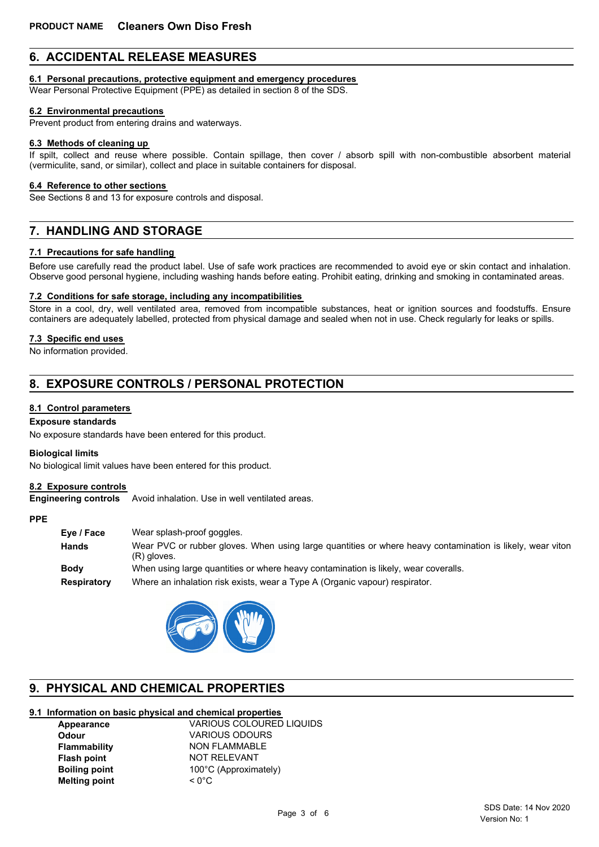# **6. ACCIDENTAL RELEASE MEASURES**

### **6.1 Personal precautions, protective equipment and emergency procedures**

Wear Personal Protective Equipment (PPE) as detailed in section 8 of the SDS.

#### **6.2 Environmental precautions**

Prevent product from entering drains and waterways.

#### **6.3 Methods of cleaning up**

If spilt, collect and reuse where possible. Contain spillage, then cover / absorb spill with non-combustible absorbent material (vermiculite, sand, or similar), collect and place in suitable containers for disposal.

#### **6.4 Reference to other sections**

See Sections 8 and 13 for exposure controls and disposal.

# **7. HANDLING AND STORAGE**

### **7.1 Precautions for safe handling**

Before use carefully read the product label. Use of safe work practices are recommended to avoid eye or skin contact and inhalation. Observe good personal hygiene, including washing hands before eating. Prohibit eating, drinking and smoking in contaminated areas.

#### **7.2 Conditions for safe storage, including any incompatibilities**

Store in a cool, dry, well ventilated area, removed from incompatible substances, heat or ignition sources and foodstuffs. Ensure containers are adequately labelled, protected from physical damage and sealed when not in use. Check regularly for leaks or spills.

### **7.3 Specific end uses**

No information provided.

# **8. EXPOSURE CONTROLS / PERSONAL PROTECTION**

### **8.1 Control parameters**

# **Exposure standards**

No exposure standards have been entered for this product.

#### **Biological limits**

No biological limit values have been entered for this product.

### **8.2 Exposure controls**

**Engineering controls** Avoid inhalation. Use in well ventilated areas.

#### **PPE**

| Eye / Face  | Wear splash-proof goggles.                                                                                               |
|-------------|--------------------------------------------------------------------------------------------------------------------------|
| Hands       | Wear PVC or rubber gloves. When using large guantities or where heavy contamination is likely, wear viton<br>(R) gloves. |
| Body        | When using large quantities or where heavy contamination is likely, wear coveralls.                                      |
| Respiratory | Where an inhalation risk exists, wear a Type A (Organic vapour) respirator.                                              |



# **9. PHYSICAL AND CHEMICAL PROPERTIES**

# **9.1 Information on basic physical and chemical properties**

| Appearance           | <b>VARIOUS COLOURED LIQUIDS</b> |
|----------------------|---------------------------------|
| <b>Odour</b>         | <b>VARIOUS ODOURS</b>           |
| <b>Flammability</b>  | <b>NON FLAMMABLE</b>            |
| <b>Flash point</b>   | NOT RELEVANT                    |
| <b>Boiling point</b> | 100°C (Approximately)           |
| <b>Melting point</b> | $\leq 0^{\circ}$ C              |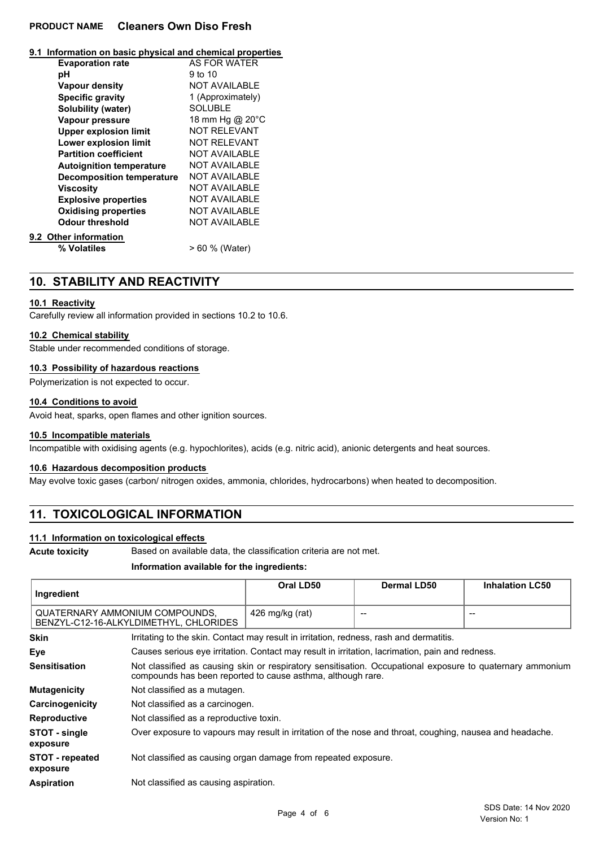# **PRODUCT NAME Cleaners Own Diso Fresh**

| 9.1 Information on basic physical and chemical properties |  |  |  |
|-----------------------------------------------------------|--|--|--|
|-----------------------------------------------------------|--|--|--|

| <b>Evaporation rate</b>          | <b>AS FOR WATER</b>  |
|----------------------------------|----------------------|
| рH                               | $9$ to 10            |
| <b>Vapour density</b>            | <b>NOT AVAILABLE</b> |
| <b>Specific gravity</b>          | 1 (Approximately)    |
| Solubility (water)               | <b>SOLUBLE</b>       |
| Vapour pressure                  | 18 mm Hg @ 20°C      |
| <b>Upper explosion limit</b>     | <b>NOT REI EVANT</b> |
| Lower explosion limit            | <b>NOT RELEVANT</b>  |
| <b>Partition coefficient</b>     | <b>NOT AVAILABLE</b> |
| <b>Autoignition temperature</b>  | <b>NOT AVAILABLE</b> |
| <b>Decomposition temperature</b> | <b>NOT AVAILABLE</b> |
| Viscosity                        | <b>NOT AVAILABLE</b> |
| <b>Explosive properties</b>      | <b>NOT AVAILABLE</b> |
| <b>Oxidising properties</b>      | <b>NOT AVAILABLE</b> |
| Odour threshold                  | NOT AVAILABLE        |
| 9.2 Other information            |                      |
| % Volatiles                      | > 60 % (Water)       |

# **10. STABILITY AND REACTIVITY**

### **10.1 Reactivity**

Carefully review all information provided in sections 10.2 to 10.6.

## **10.2 Chemical stability**

Stable under recommended conditions of storage.

#### **10.3 Possibility of hazardous reactions**

Polymerization is not expected to occur.

#### **10.4 Conditions to avoid**

Avoid heat, sparks, open flames and other ignition sources.

### **10.5 Incompatible materials**

Incompatible with oxidising agents (e.g. hypochlorites), acids (e.g. nitric acid), anionic detergents and heat sources.

### **10.6 Hazardous decomposition products**

May evolve toxic gases (carbon/ nitrogen oxides, ammonia, chlorides, hydrocarbons) when heated to decomposition.

# **11. TOXICOLOGICAL INFORMATION**

# **11.1 Information on toxicological effects**

**Acute toxicity** Based on available data, the classification criteria are not met.

#### **Information available for the ingredients:**

| Ingredient                                                               |                                                                                                                                                                          | Oral LD50       | <b>Dermal LD50</b> | <b>Inhalation LC50</b> |
|--------------------------------------------------------------------------|--------------------------------------------------------------------------------------------------------------------------------------------------------------------------|-----------------|--------------------|------------------------|
| QUATERNARY AMMONIUM COMPOUNDS.<br>BENZYL-C12-16-ALKYLDIMETHYL, CHLORIDES |                                                                                                                                                                          | 426 mg/kg (rat) | --                 |                        |
| <b>Skin</b>                                                              | Irritating to the skin. Contact may result in irritation, redness, rash and dermatitis.                                                                                  |                 |                    |                        |
| Eye                                                                      | Causes serious eye irritation. Contact may result in irritation, lacrimation, pain and redness.                                                                          |                 |                    |                        |
| <b>Sensitisation</b>                                                     | Not classified as causing skin or respiratory sensitisation. Occupational exposure to quaternary ammonium<br>compounds has been reported to cause asthma, although rare. |                 |                    |                        |
| <b>Mutagenicity</b>                                                      | Not classified as a mutagen.                                                                                                                                             |                 |                    |                        |
| Carcinogenicity                                                          | Not classified as a carcinogen.                                                                                                                                          |                 |                    |                        |
| <b>Reproductive</b>                                                      | Not classified as a reproductive toxin.                                                                                                                                  |                 |                    |                        |
| STOT - single<br>exposure                                                | Over exposure to vapours may result in irritation of the nose and throat, coughing, nausea and headache.                                                                 |                 |                    |                        |
| <b>STOT</b> - repeated<br>exposure                                       | Not classified as causing organ damage from repeated exposure.                                                                                                           |                 |                    |                        |
| <b>Aspiration</b>                                                        | Not classified as causing aspiration.                                                                                                                                    |                 |                    |                        |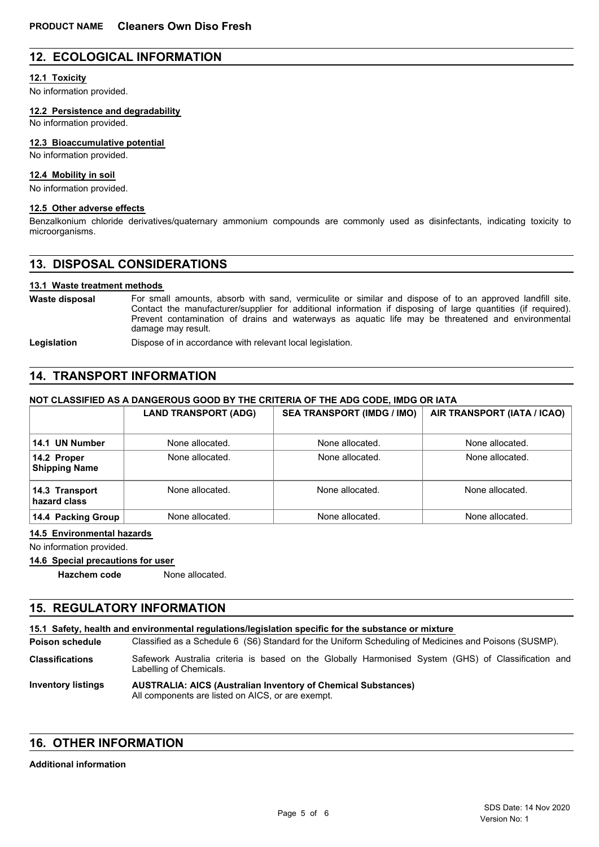# **12. ECOLOGICAL INFORMATION**

### **12.1 Toxicity**

No information provided.

**12.2 Persistence and degradability**

No information provided.

#### **12.3 Bioaccumulative potential**

No information provided.

### **12.4 Mobility in soil**

No information provided.

#### **12.5 Other adverse effects**

Benzalkonium chloride derivatives/quaternary ammonium compounds are commonly used as disinfectants, indicating toxicity to microorganisms.

# **13. DISPOSAL CONSIDERATIONS**

#### **13.1 Waste treatment methods**

For small amounts, absorb with sand, vermiculite or similar and dispose of to an approved landfill site. Contact the manufacturer/supplier for additional information if disposing of large quantities (if required). Prevent contamination of drains and waterways as aquatic life may be threatened and environmental damage may result. **Waste disposal**

Legislation **Dispose of in accordance with relevant local legislation.** 

# **14. TRANSPORT INFORMATION**

#### **NOT CLASSIFIED AS A DANGEROUS GOOD BY THE CRITERIA OF THE ADG CODE, IMDG OR IATA**

|                                     | <b>LAND TRANSPORT (ADG)</b> | <b>SEA TRANSPORT (IMDG / IMO)</b> | AIR TRANSPORT (IATA / ICAO) |
|-------------------------------------|-----------------------------|-----------------------------------|-----------------------------|
| 14.1 UN Number                      | None allocated.             | None allocated.                   | None allocated.             |
| 14.2 Proper<br><b>Shipping Name</b> | None allocated.             | None allocated.                   | None allocated.             |
| 14.3 Transport<br>hazard class      | None allocated.             | None allocated.                   | None allocated.             |
| 14.4 Packing Group                  | None allocated.             | None allocated.                   | None allocated.             |

#### **14.5 Environmental hazards**

No information provided.

## **14.6 Special precautions for user**

**Hazchem code** None allocated.

# **15. REGULATORY INFORMATION**

**15.1 Safety, health and environmental regulations/legislation specific for the substance or mixture**

Classified as a Schedule 6 (S6) Standard for the Uniform Scheduling of Medicines and Poisons (SUSMP). **Poison schedule**

Safework Australia criteria is based on the Globally Harmonised System (GHS) of Classification and Labelling of Chemicals. **Classifications**

#### **AUSTRALIA: AICS (Australian Inventory of Chemical Substances)** All components are listed on AICS, or are exempt. **Inventory listings**

# **16. OTHER INFORMATION**

### **Additional information**